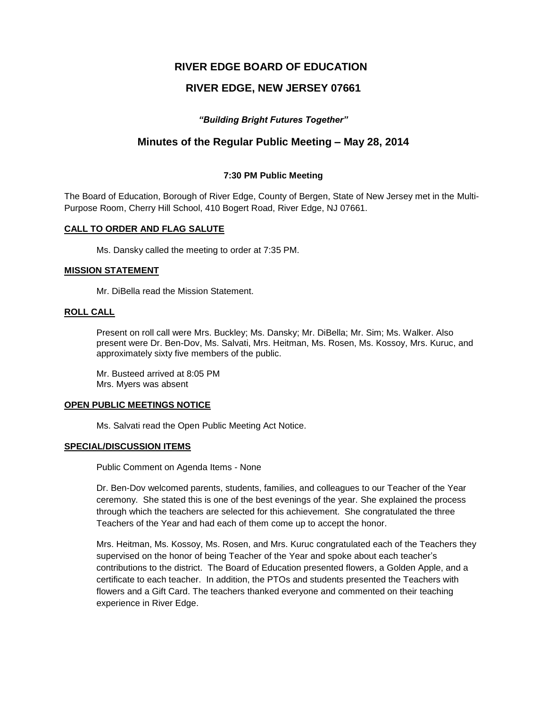# **RIVER EDGE BOARD OF EDUCATION**

# **RIVER EDGE, NEW JERSEY 07661**

## *"Building Bright Futures Together"*

# **Minutes of the Regular Public Meeting – May 28, 2014**

## **7:30 PM Public Meeting**

The Board of Education, Borough of River Edge, County of Bergen, State of New Jersey met in the Multi-Purpose Room, Cherry Hill School, 410 Bogert Road, River Edge, NJ 07661.

#### **CALL TO ORDER AND FLAG SALUTE**

Ms. Dansky called the meeting to order at 7:35 PM.

#### **MISSION STATEMENT**

Mr. DiBella read the Mission Statement.

### **ROLL CALL**

Present on roll call were Mrs. Buckley; Ms. Dansky; Mr. DiBella; Mr. Sim; Ms. Walker. Also present were Dr. Ben-Dov, Ms. Salvati, Mrs. Heitman, Ms. Rosen, Ms. Kossoy, Mrs. Kuruc, and approximately sixty five members of the public.

Mr. Busteed arrived at 8:05 PM Mrs. Myers was absent

#### **OPEN PUBLIC MEETINGS NOTICE**

Ms. Salvati read the Open Public Meeting Act Notice.

#### **SPECIAL/DISCUSSION ITEMS**

Public Comment on Agenda Items - None

Dr. Ben-Dov welcomed parents, students, families, and colleagues to our Teacher of the Year ceremony. She stated this is one of the best evenings of the year. She explained the process through which the teachers are selected for this achievement. She congratulated the three Teachers of the Year and had each of them come up to accept the honor.

Mrs. Heitman, Ms. Kossoy, Ms. Rosen, and Mrs. Kuruc congratulated each of the Teachers they supervised on the honor of being Teacher of the Year and spoke about each teacher's contributions to the district. The Board of Education presented flowers, a Golden Apple, and a certificate to each teacher. In addition, the PTOs and students presented the Teachers with flowers and a Gift Card. The teachers thanked everyone and commented on their teaching experience in River Edge.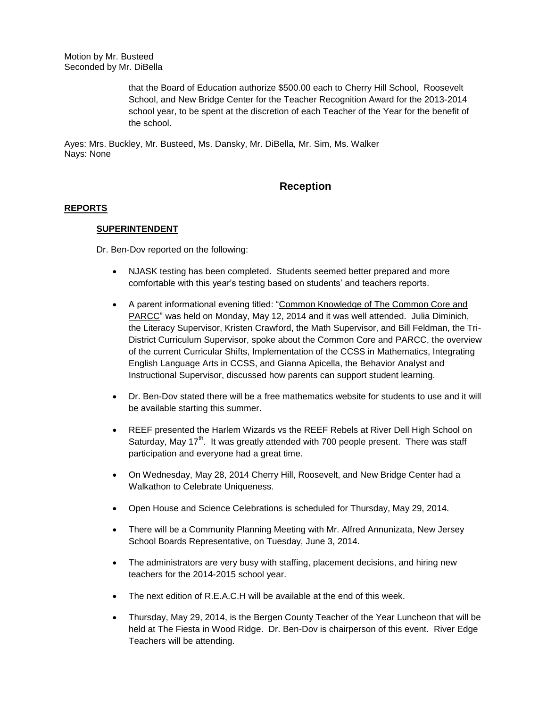Motion by Mr. Busteed Seconded by Mr. DiBella

> that the Board of Education authorize \$500.00 each to Cherry Hill School, Roosevelt School, and New Bridge Center for the Teacher Recognition Award for the 2013-2014 school year, to be spent at the discretion of each Teacher of the Year for the benefit of the school.

Ayes: Mrs. Buckley, Mr. Busteed, Ms. Dansky, Mr. DiBella, Mr. Sim, Ms. Walker Nays: None

# **Reception**

## **REPORTS**

## **SUPERINTENDENT**

Dr. Ben-Dov reported on the following:

- NJASK testing has been completed. Students seemed better prepared and more comfortable with this year's testing based on students' and teachers reports.
- A parent informational evening titled: "Common Knowledge of The Common Core and PARCC" was held on Monday, May 12, 2014 and it was well attended. Julia Diminich, the Literacy Supervisor, Kristen Crawford, the Math Supervisor, and Bill Feldman, the Tri-District Curriculum Supervisor, spoke about the Common Core and PARCC, the overview of the current Curricular Shifts, Implementation of the CCSS in Mathematics, Integrating English Language Arts in CCSS, and Gianna Apicella, the Behavior Analyst and Instructional Supervisor, discussed how parents can support student learning.
- Dr. Ben-Dov stated there will be a free mathematics website for students to use and it will be available starting this summer.
- REEF presented the Harlem Wizards vs the REEF Rebels at River Dell High School on Saturday, May  $17<sup>th</sup>$ . It was greatly attended with 700 people present. There was staff participation and everyone had a great time.
- On Wednesday, May 28, 2014 Cherry Hill, Roosevelt, and New Bridge Center had a Walkathon to Celebrate Uniqueness.
- Open House and Science Celebrations is scheduled for Thursday, May 29, 2014.
- There will be a Community Planning Meeting with Mr. Alfred Annunizata, New Jersey School Boards Representative, on Tuesday, June 3, 2014.
- The administrators are very busy with staffing, placement decisions, and hiring new teachers for the 2014-2015 school year.
- The next edition of R.E.A.C.H will be available at the end of this week.
- Thursday, May 29, 2014, is the Bergen County Teacher of the Year Luncheon that will be held at The Fiesta in Wood Ridge. Dr. Ben-Dov is chairperson of this event. River Edge Teachers will be attending.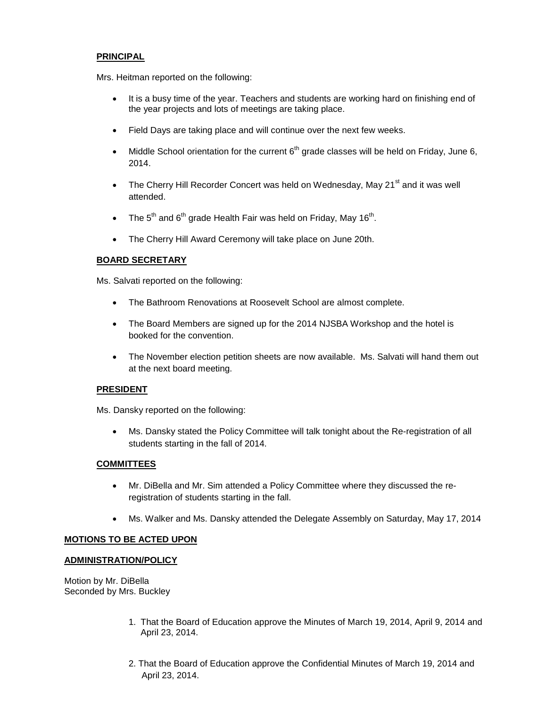## **PRINCIPAL**

Mrs. Heitman reported on the following:

- It is a busy time of the year. Teachers and students are working hard on finishing end of the year projects and lots of meetings are taking place.
- Field Days are taking place and will continue over the next few weeks.
- Middle School orientation for the current  $6<sup>th</sup>$  grade classes will be held on Friday, June 6, 2014.
- The Cherry Hill Recorder Concert was held on Wednesday, May 21<sup>st</sup> and it was well attended.
- The 5<sup>th</sup> and 6<sup>th</sup> grade Health Fair was held on Friday, May 16<sup>th</sup>.
- The Cherry Hill Award Ceremony will take place on June 20th.

# **BOARD SECRETARY**

Ms. Salvati reported on the following:

- The Bathroom Renovations at Roosevelt School are almost complete.
- The Board Members are signed up for the 2014 NJSBA Workshop and the hotel is booked for the convention.
- The November election petition sheets are now available. Ms. Salvati will hand them out at the next board meeting.

### **PRESIDENT**

Ms. Dansky reported on the following:

 Ms. Dansky stated the Policy Committee will talk tonight about the Re-registration of all students starting in the fall of 2014.

## **COMMITTEES**

- Mr. DiBella and Mr. Sim attended a Policy Committee where they discussed the reregistration of students starting in the fall.
- Ms. Walker and Ms. Dansky attended the Delegate Assembly on Saturday, May 17, 2014

### **MOTIONS TO BE ACTED UPON**

### **ADMINISTRATION/POLICY**

Motion by Mr. DiBella Seconded by Mrs. Buckley

- 1. That the Board of Education approve the Minutes of March 19, 2014, April 9, 2014 and April 23, 2014.
- 2. That the Board of Education approve the Confidential Minutes of March 19, 2014 and April 23, 2014.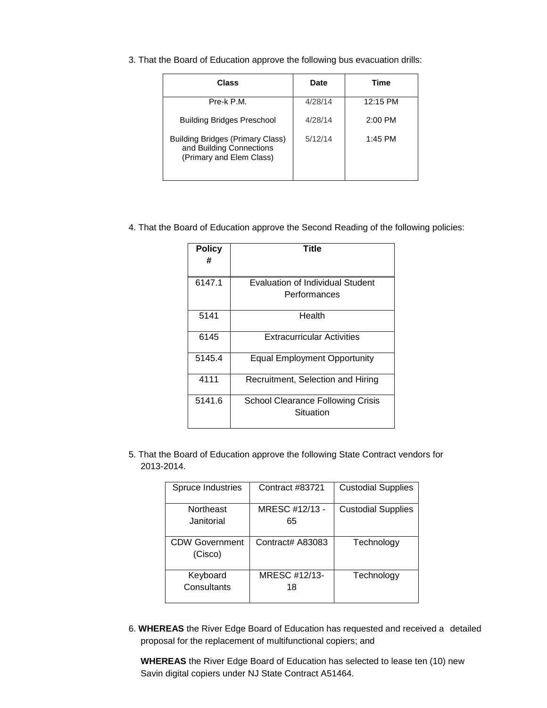3. That the Board of Education approve the following bus evacuation drills:

| Class                                                                                           | <b>Date</b> | Time      |
|-------------------------------------------------------------------------------------------------|-------------|-----------|
| Pre-k P.M.                                                                                      | 4/28/14     | 12:15 PM  |
| <b>Building Bridges Preschool</b>                                                               | 4/28/14     | $2:00$ PM |
| <b>Building Bridges (Primary Class)</b><br>and Building Connections<br>(Primary and Elem Class) | 5/12/14     | $1:45$ PM |

## 4. That the Board of Education approve the Second Reading of the following policies:

| <b>Policy</b><br># | Title                                                   |
|--------------------|---------------------------------------------------------|
| 6147.1             | <b>Evaluation of Individual Student</b><br>Performances |
| 5141               | Health                                                  |
| 6145               | <b>Extracurricular Activities</b>                       |
| 5145.4             | Equal Employment Opportunity                            |
| 4111               | Recruitment, Selection and Hiring                       |
| 5141.6             | School Clearance Following Crisis<br>Situation          |

5. That the Board of Education approve the following State Contract vendors for 2013-2014.

| Spruce Industries                | Contract #83721      | <b>Custodial Supplies</b> |
|----------------------------------|----------------------|---------------------------|
| Northeast<br>Janitorial          | MRESC #12/13 -<br>65 | <b>Custodial Supplies</b> |
| <b>CDW Government</b><br>(Cisco) | Contract# A83083     | Technology                |
| Keyboard<br>Consultants          | MRESC #12/13-<br>18  | Technology                |

6. **WHEREAS** the River Edge Board of Education has requested and received a detailed proposal for the replacement of multifunctional copiers; and

**WHEREAS** the River Edge Board of Education has selected to lease ten (10) new Savin digital copiers under NJ State Contract A51464.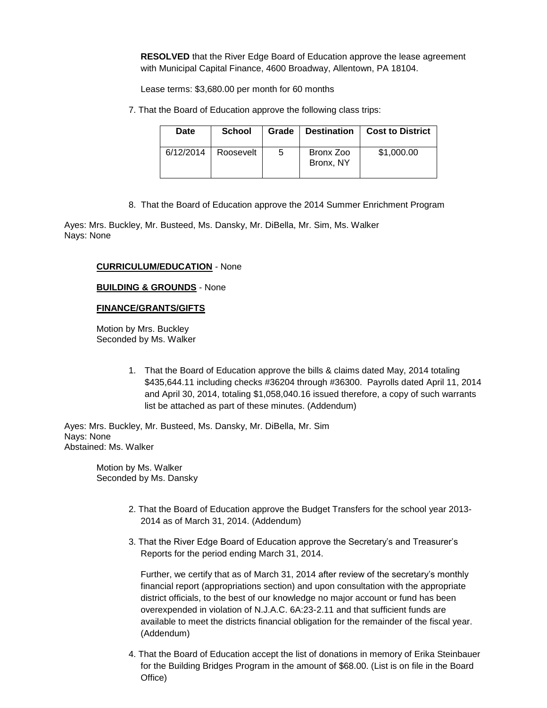**RESOLVED** that the River Edge Board of Education approve the lease agreement with Municipal Capital Finance, 4600 Broadway, Allentown, PA 18104.

Lease terms: \$3,680.00 per month for 60 months

7. That the Board of Education approve the following class trips:

| Date      | <b>School</b> | Grade | <b>Destination</b>     | <b>Cost to District</b> |
|-----------|---------------|-------|------------------------|-------------------------|
| 6/12/2014 | Roosevelt     | 5     | Bronx Zoo<br>Bronx, NY | \$1,000.00              |

8. That the Board of Education approve the 2014 Summer Enrichment Program

Ayes: Mrs. Buckley, Mr. Busteed, Ms. Dansky, Mr. DiBella, Mr. Sim, Ms. Walker Nays: None

## **CURRICULUM/EDUCATION** - None

## **BUILDING & GROUNDS** - None

## **FINANCE/GRANTS/GIFTS**

 Motion by Mrs. Buckley Seconded by Ms. Walker

> 1. That the Board of Education approve the bills & claims dated May, 2014 totaling \$435,644.11 including checks #36204 through #36300. Payrolls dated April 11, 2014 and April 30, 2014, totaling \$1,058,040.16 issued therefore, a copy of such warrants list be attached as part of these minutes. (Addendum)

Ayes: Mrs. Buckley, Mr. Busteed, Ms. Dansky, Mr. DiBella, Mr. Sim Nays: None Abstained: Ms. Walker

> Motion by Ms. Walker Seconded by Ms. Dansky

- 2. That the Board of Education approve the Budget Transfers for the school year 2013- 2014 as of March 31, 2014. (Addendum)
- 3. That the River Edge Board of Education approve the Secretary's and Treasurer's Reports for the period ending March 31, 2014.

Further, we certify that as of March 31, 2014 after review of the secretary's monthly financial report (appropriations section) and upon consultation with the appropriate district officials, to the best of our knowledge no major account or fund has been overexpended in violation of N.J.A.C. 6A:23-2.11 and that sufficient funds are available to meet the districts financial obligation for the remainder of the fiscal year. (Addendum)

4. That the Board of Education accept the list of donations in memory of Erika Steinbauer for the Building Bridges Program in the amount of \$68.00. (List is on file in the Board Office)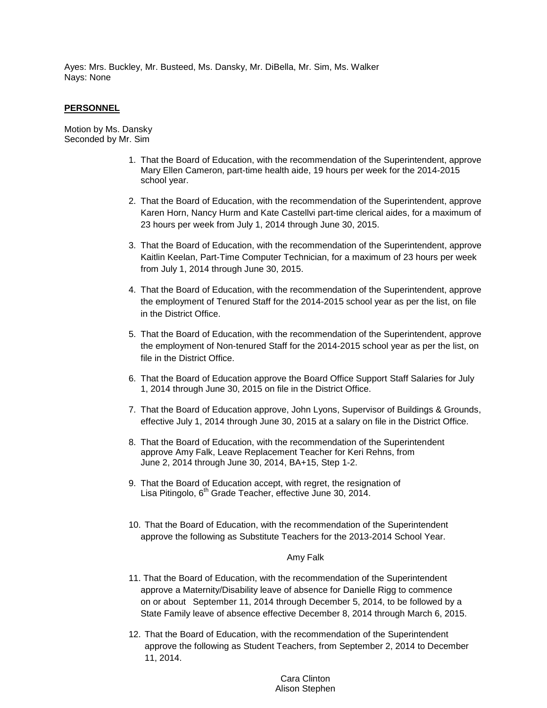Ayes: Mrs. Buckley, Mr. Busteed, Ms. Dansky, Mr. DiBella, Mr. Sim, Ms. Walker Nays: None

### **PERSONNEL**

Motion by Ms. Dansky Seconded by Mr. Sim

- 1. That the Board of Education, with the recommendation of the Superintendent, approve Mary Ellen Cameron, part-time health aide, 19 hours per week for the 2014-2015 school year.
- 2. That the Board of Education, with the recommendation of the Superintendent, approve Karen Horn, Nancy Hurm and Kate Castellvi part-time clerical aides, for a maximum of 23 hours per week from July 1, 2014 through June 30, 2015.
- 3. That the Board of Education, with the recommendation of the Superintendent, approve Kaitlin Keelan, Part-Time Computer Technician, for a maximum of 23 hours per week from July 1, 2014 through June 30, 2015.
- 4. That the Board of Education, with the recommendation of the Superintendent, approve the employment of Tenured Staff for the 2014-2015 school year as per the list, on file in the District Office.
- 5. That the Board of Education, with the recommendation of the Superintendent, approve the employment of Non-tenured Staff for the 2014-2015 school year as per the list, on file in the District Office.
- 6. That the Board of Education approve the Board Office Support Staff Salaries for July 1, 2014 through June 30, 2015 on file in the District Office.
- 7. That the Board of Education approve, John Lyons, Supervisor of Buildings & Grounds, effective July 1, 2014 through June 30, 2015 at a salary on file in the District Office.
- 8. That the Board of Education, with the recommendation of the Superintendent approve Amy Falk, Leave Replacement Teacher for Keri Rehns, from June 2, 2014 through June 30, 2014, BA+15, Step 1-2.
- 9. That the Board of Education accept, with regret, the resignation of Lisa Pitingolo, 6<sup>th</sup> Grade Teacher, effective June 30, 2014.
- 10. That the Board of Education, with the recommendation of the Superintendent approve the following as Substitute Teachers for the 2013-2014 School Year.

### Amy Falk

- 11. That the Board of Education, with the recommendation of the Superintendent approve a Maternity/Disability leave of absence for Danielle Rigg to commence on or about September 11, 2014 through December 5, 2014, to be followed by a State Family leave of absence effective December 8, 2014 through March 6, 2015.
- 12. That the Board of Education, with the recommendation of the Superintendent approve the following as Student Teachers, from September 2, 2014 to December 11, 2014.

## Cara Clinton Alison Stephen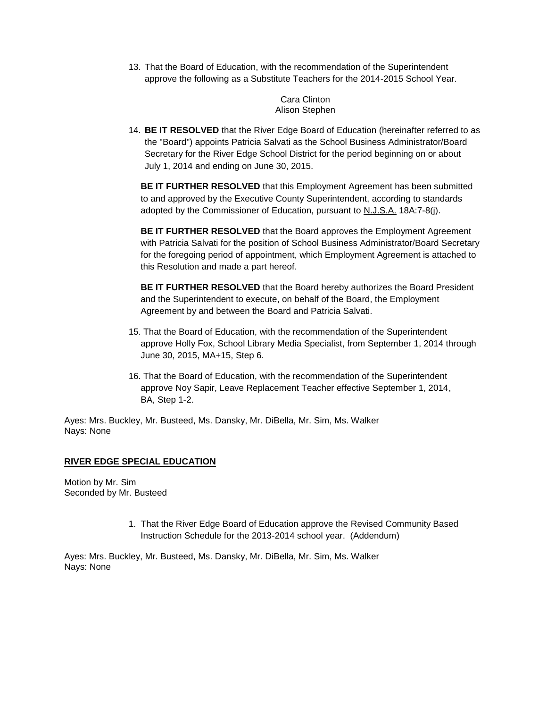13. That the Board of Education, with the recommendation of the Superintendent approve the following as a Substitute Teachers for the 2014-2015 School Year.

> Cara Clinton Alison Stephen

14. **BE IT RESOLVED** that the River Edge Board of Education (hereinafter referred to as the "Board") appoints Patricia Salvati as the School Business Administrator/Board Secretary for the River Edge School District for the period beginning on or about July 1, 2014 and ending on June 30, 2015.

**BE IT FURTHER RESOLVED** that this Employment Agreement has been submitted to and approved by the Executive County Superintendent, according to standards adopted by the Commissioner of Education, pursuant to N.J.S.A. 18A:7-8(j).

**BE IT FURTHER RESOLVED** that the Board approves the Employment Agreement with Patricia Salvati for the position of School Business Administrator/Board Secretary for the foregoing period of appointment, which Employment Agreement is attached to this Resolution and made a part hereof.

**BE IT FURTHER RESOLVED** that the Board hereby authorizes the Board President and the Superintendent to execute, on behalf of the Board, the Employment Agreement by and between the Board and Patricia Salvati.

- 15. That the Board of Education, with the recommendation of the Superintendent approve Holly Fox, School Library Media Specialist, from September 1, 2014 through June 30, 2015, MA+15, Step 6.
- 16. That the Board of Education, with the recommendation of the Superintendent approve Noy Sapir, Leave Replacement Teacher effective September 1, 2014, BA, Step 1-2.

Ayes: Mrs. Buckley, Mr. Busteed, Ms. Dansky, Mr. DiBella, Mr. Sim, Ms. Walker Nays: None

## **RIVER EDGE SPECIAL EDUCATION**

Motion by Mr. Sim Seconded by Mr. Busteed

> 1. That the River Edge Board of Education approve the Revised Community Based Instruction Schedule for the 2013-2014 school year. (Addendum)

Ayes: Mrs. Buckley, Mr. Busteed, Ms. Dansky, Mr. DiBella, Mr. Sim, Ms. Walker Nays: None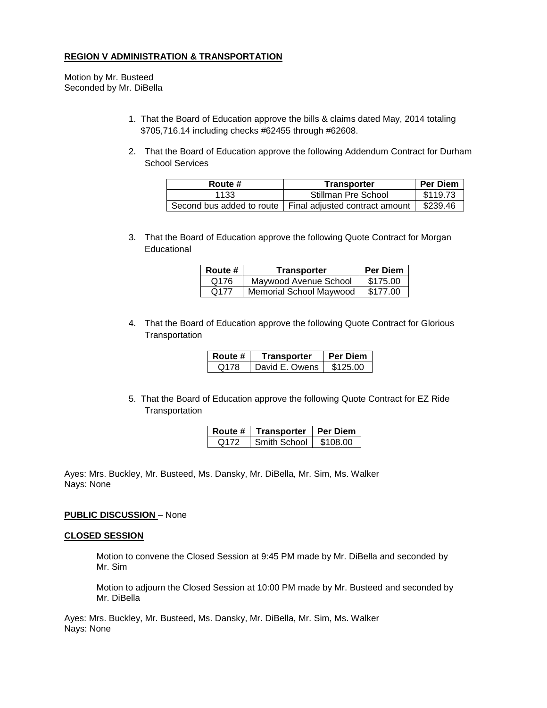## **REGION V ADMINISTRATION & TRANSPORTATION**

Motion by Mr. Busteed Seconded by Mr. DiBella

- 1. That the Board of Education approve the bills & claims dated May, 2014 totaling \$705,716.14 including checks #62455 through #62608.
- 2. That the Board of Education approve the following Addendum Contract for Durham School Services

| Route # | Transporter                                                | <b>Per Diem</b> |
|---------|------------------------------------------------------------|-----------------|
| 1133    | Stillman Pre School                                        | \$119.73        |
|         | Second bus added to route   Final adjusted contract amount | \$239.46        |

3. That the Board of Education approve the following Quote Contract for Morgan Educational

| Route #          | Transporter                    | <b>Per Diem</b> |
|------------------|--------------------------------|-----------------|
| Q176             | Maywood Avenue School          | \$175.00        |
| Q <sub>177</sub> | <b>Memorial School Maywood</b> | \$177.00        |

4. That the Board of Education approve the following Quote Contract for Glorious **Transportation** 

| Route # | Transporter    | <b>Per Diem</b> |
|---------|----------------|-----------------|
| Q178    | David E. Owens | \$125.00        |

5. That the Board of Education approve the following Quote Contract for EZ Ride **Transportation** 

| Route # | Transporter  | l Per Diem |
|---------|--------------|------------|
| 0172    | Smith School | \$108.00   |

Ayes: Mrs. Buckley, Mr. Busteed, Ms. Dansky, Mr. DiBella, Mr. Sim, Ms. Walker Nays: None

### **PUBLIC DISCUSSION** – None

#### **CLOSED SESSION**

Motion to convene the Closed Session at 9:45 PM made by Mr. DiBella and seconded by Mr. Sim

Motion to adjourn the Closed Session at 10:00 PM made by Mr. Busteed and seconded by Mr. DiBella

Ayes: Mrs. Buckley, Mr. Busteed, Ms. Dansky, Mr. DiBella, Mr. Sim, Ms. Walker Nays: None